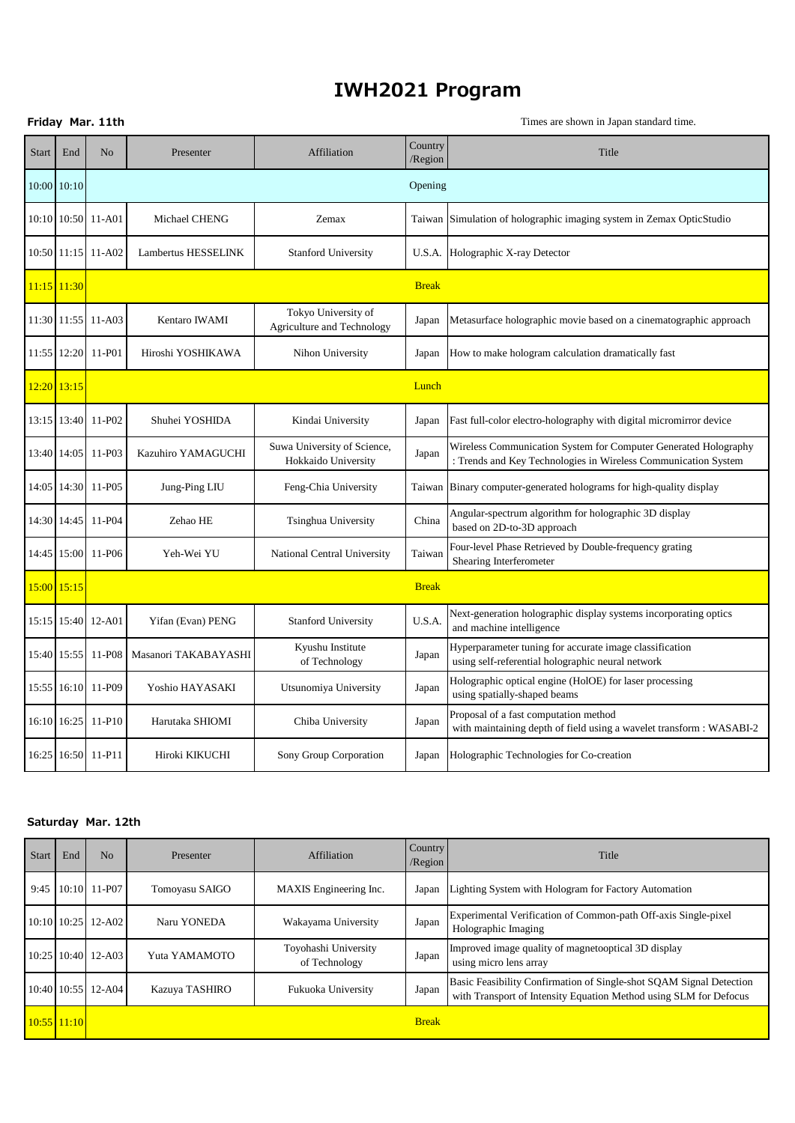## **IWH2021 Program**

|              |             | Friday Mar. 11th   |                      |                                                    | Times are shown in Japan standard time. |                                                                                                                                   |  |
|--------------|-------------|--------------------|----------------------|----------------------------------------------------|-----------------------------------------|-----------------------------------------------------------------------------------------------------------------------------------|--|
| <b>Start</b> | End         | No                 | Presenter            | Affiliation                                        | Country<br>/Region                      | Title                                                                                                                             |  |
|              | 10:00 10:10 |                    |                      |                                                    | Opening                                 |                                                                                                                                   |  |
|              |             | 10:10 10:50 11-A01 | Michael CHENG        | Zemax                                              | Taiwan                                  | Simulation of holographic imaging system in Zemax OpticStudio                                                                     |  |
|              |             | 10:50 11:15 11-A02 | Lambertus HESSELINK  | <b>Stanford University</b>                         | U.S.A.                                  | Holographic X-ray Detector                                                                                                        |  |
|              | 11:15 11:30 |                    |                      |                                                    | <b>Break</b>                            |                                                                                                                                   |  |
|              |             | 11:30 11:55 11-A03 | Kentaro IWAMI        | Tokyo University of<br>Agriculture and Technology  | Japan                                   | Metasurface holographic movie based on a cinematographic approach                                                                 |  |
|              |             | 11:55 12:20 11-P01 | Hiroshi YOSHIKAWA    | Nihon University                                   | Japan                                   | How to make hologram calculation dramatically fast                                                                                |  |
|              | 12:20 13:15 |                    |                      |                                                    | Lunch                                   |                                                                                                                                   |  |
|              |             | 13:15 13:40 11-P02 | Shuhei YOSHIDA       | Kindai University                                  | Japan                                   | Fast full-color electro-holography with digital micromirror device                                                                |  |
| 13:40        | 14:05       | 11-P03             | Kazuhiro YAMAGUCHI   | Suwa University of Science,<br>Hokkaido University | Japan                                   | Wireless Communication System for Computer Generated Holography<br>: Trends and Key Technologies in Wireless Communication System |  |
|              |             | 14:05 14:30 11-P05 | Jung-Ping LIU        | Feng-Chia University                               | Taiwan                                  | Binary computer-generated holograms for high-quality display                                                                      |  |
| 14:30        |             | 14:45 11-P04       | Zehao HE             | Tsinghua University                                | China                                   | Angular-spectrum algorithm for holographic 3D display<br>based on 2D-to-3D approach                                               |  |
|              |             | 14:45 15:00 11-P06 | Yeh-Wei YU           | National Central University                        | Taiwan                                  | Four-level Phase Retrieved by Double-frequency grating<br>Shearing Interferometer                                                 |  |
|              | 15:00 15:15 |                    |                      |                                                    | <b>Break</b>                            |                                                                                                                                   |  |
|              |             | 15:15 15:40 12-A01 | Yifan (Evan) PENG    | <b>Stanford University</b>                         | U.S.A.                                  | Next-generation holographic display systems incorporating optics<br>and machine intelligence                                      |  |
|              |             | 15:40 15:55 11-P08 | Masanori TAKABAYASHI | Kyushu Institute<br>of Technology                  | Japan                                   | Hyperparameter tuning for accurate image classification<br>using self-referential holographic neural network                      |  |
|              |             | 15:55 16:10 11-P09 | Yoshio HAYASAKI      | Utsunomiya University                              | Japan                                   | Holographic optical engine (HolOE) for laser processing<br>using spatially-shaped beams                                           |  |
|              | 16:10 16:25 | 11-P10             | Harutaka SHIOMI      | Chiba University                                   | Japan                                   | Proposal of a fast computation method<br>with maintaining depth of field using a wavelet transform : WASABI-2                     |  |
|              |             | 16:25 16:50 11-P11 | Hiroki KIKUCHI       | Sony Group Corporation                             | Japan                                   | Holographic Technologies for Co-creation                                                                                          |  |

## **Saturday Mar. 12th**

| <b>Start</b> | End           | No                 | Presenter      | Affiliation                           | Country<br>/Region | Title                                                                                                                                    |
|--------------|---------------|--------------------|----------------|---------------------------------------|--------------------|------------------------------------------------------------------------------------------------------------------------------------------|
|              |               | 9:45 10:10 11-P07  | Tomoyasu SAIGO | MAXIS Engineering Inc.                | Japan              | Lighting System with Hologram for Factory Automation                                                                                     |
|              |               | 10:10 10:25 12-A02 | Naru YONEDA    | Wakayama University                   | Japan              | Experimental Verification of Common-path Off-axis Single-pixel<br>Holographic Imaging                                                    |
|              |               | 10:25 10:40 12-A03 | Yuta YAMAMOTO  | Toyohashi University<br>of Technology | Japan              | Improved image quality of magnetooptical 3D display<br>using micro lens array                                                            |
|              |               | 10:40 10:55 12-A04 | Kazuya TASHIRO | Fukuoka University                    | Japan              | Basic Feasibility Confirmation of Single-shot SQAM Signal Detection<br>with Transport of Intensity Equation Method using SLM for Defocus |
|              | $10:55$ 11:10 |                    |                |                                       | <b>Break</b>       |                                                                                                                                          |